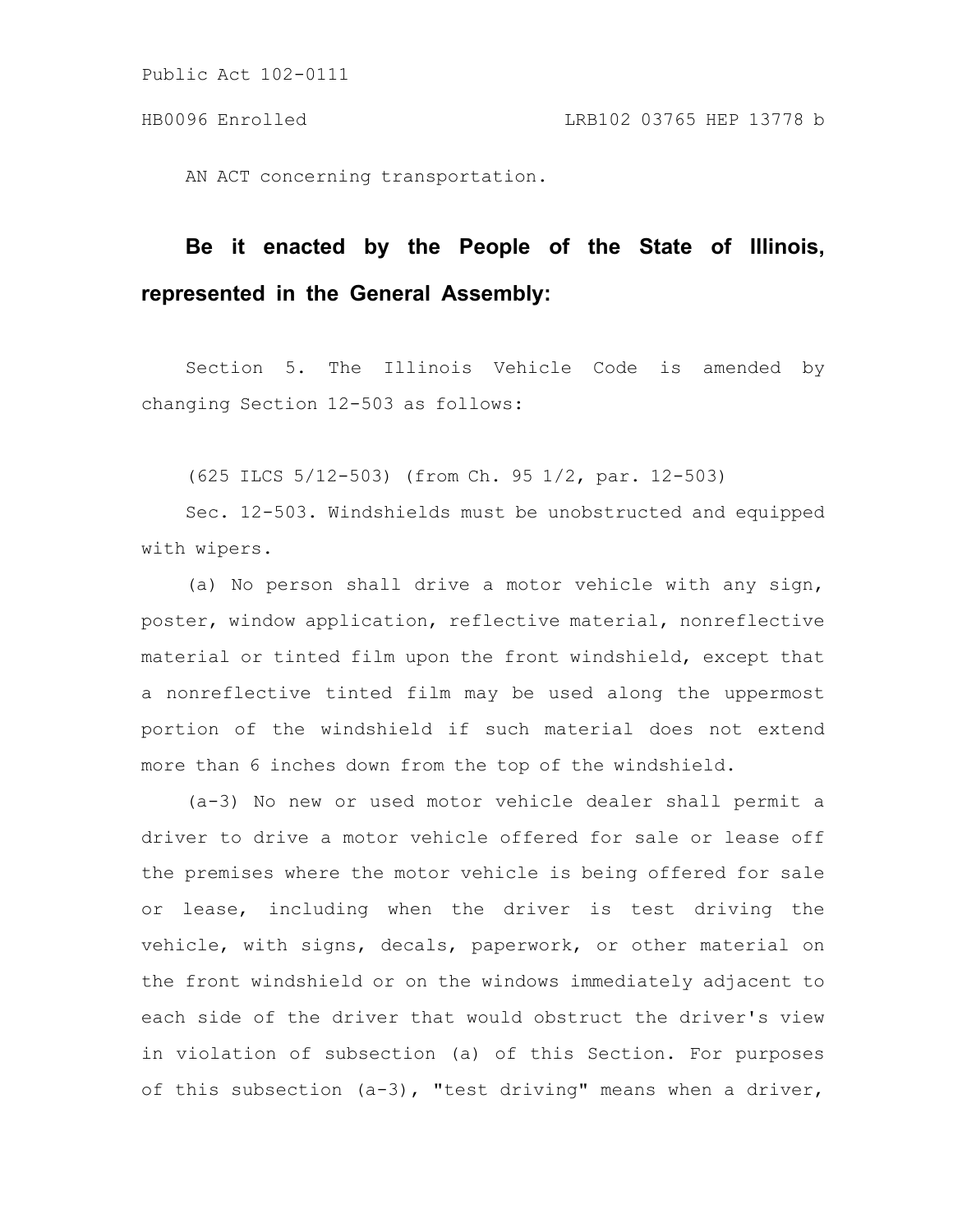AN ACT concerning transportation.

# **Be it enacted by the People of the State of Illinois, represented in the General Assembly:**

Section 5. The Illinois Vehicle Code is amended by changing Section 12-503 as follows:

(625 ILCS 5/12-503) (from Ch. 95 1/2, par. 12-503)

Sec. 12-503. Windshields must be unobstructed and equipped with wipers.

(a) No person shall drive a motor vehicle with any sign, poster, window application, reflective material, nonreflective material or tinted film upon the front windshield, except that a nonreflective tinted film may be used along the uppermost portion of the windshield if such material does not extend more than 6 inches down from the top of the windshield.

(a-3) No new or used motor vehicle dealer shall permit a driver to drive a motor vehicle offered for sale or lease off the premises where the motor vehicle is being offered for sale or lease, including when the driver is test driving the vehicle, with signs, decals, paperwork, or other material on the front windshield or on the windows immediately adjacent to each side of the driver that would obstruct the driver's view in violation of subsection (a) of this Section. For purposes of this subsection (a-3), "test driving" means when a driver,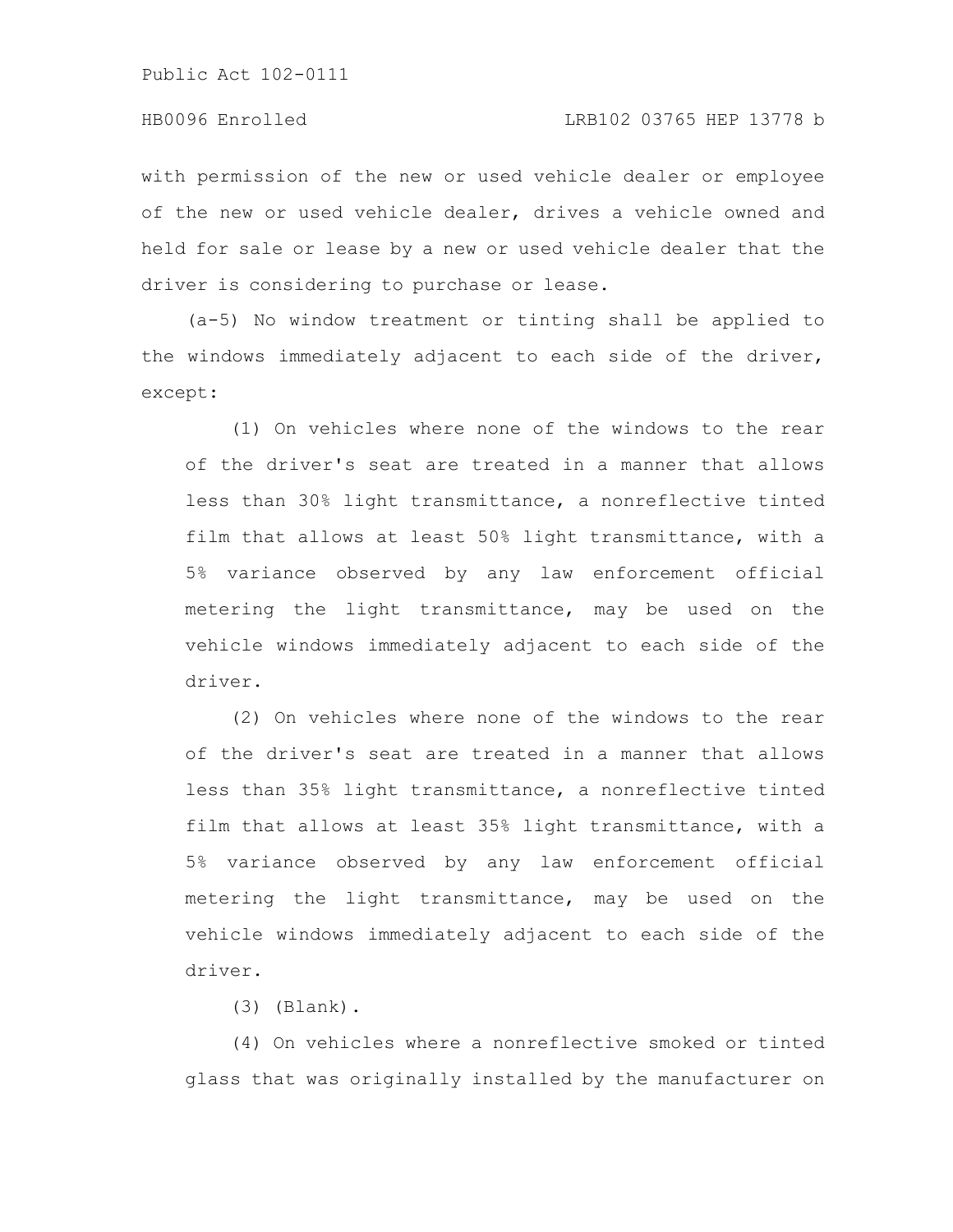with permission of the new or used vehicle dealer or employee of the new or used vehicle dealer, drives a vehicle owned and held for sale or lease by a new or used vehicle dealer that the driver is considering to purchase or lease.

(a-5) No window treatment or tinting shall be applied to the windows immediately adjacent to each side of the driver, except:

(1) On vehicles where none of the windows to the rear of the driver's seat are treated in a manner that allows less than 30% light transmittance, a nonreflective tinted film that allows at least 50% light transmittance, with a 5% variance observed by any law enforcement official metering the light transmittance, may be used on the vehicle windows immediately adjacent to each side of the driver.

(2) On vehicles where none of the windows to the rear of the driver's seat are treated in a manner that allows less than 35% light transmittance, a nonreflective tinted film that allows at least 35% light transmittance, with a 5% variance observed by any law enforcement official metering the light transmittance, may be used on the vehicle windows immediately adjacent to each side of the driver.

(3) (Blank).

(4) On vehicles where a nonreflective smoked or tinted glass that was originally installed by the manufacturer on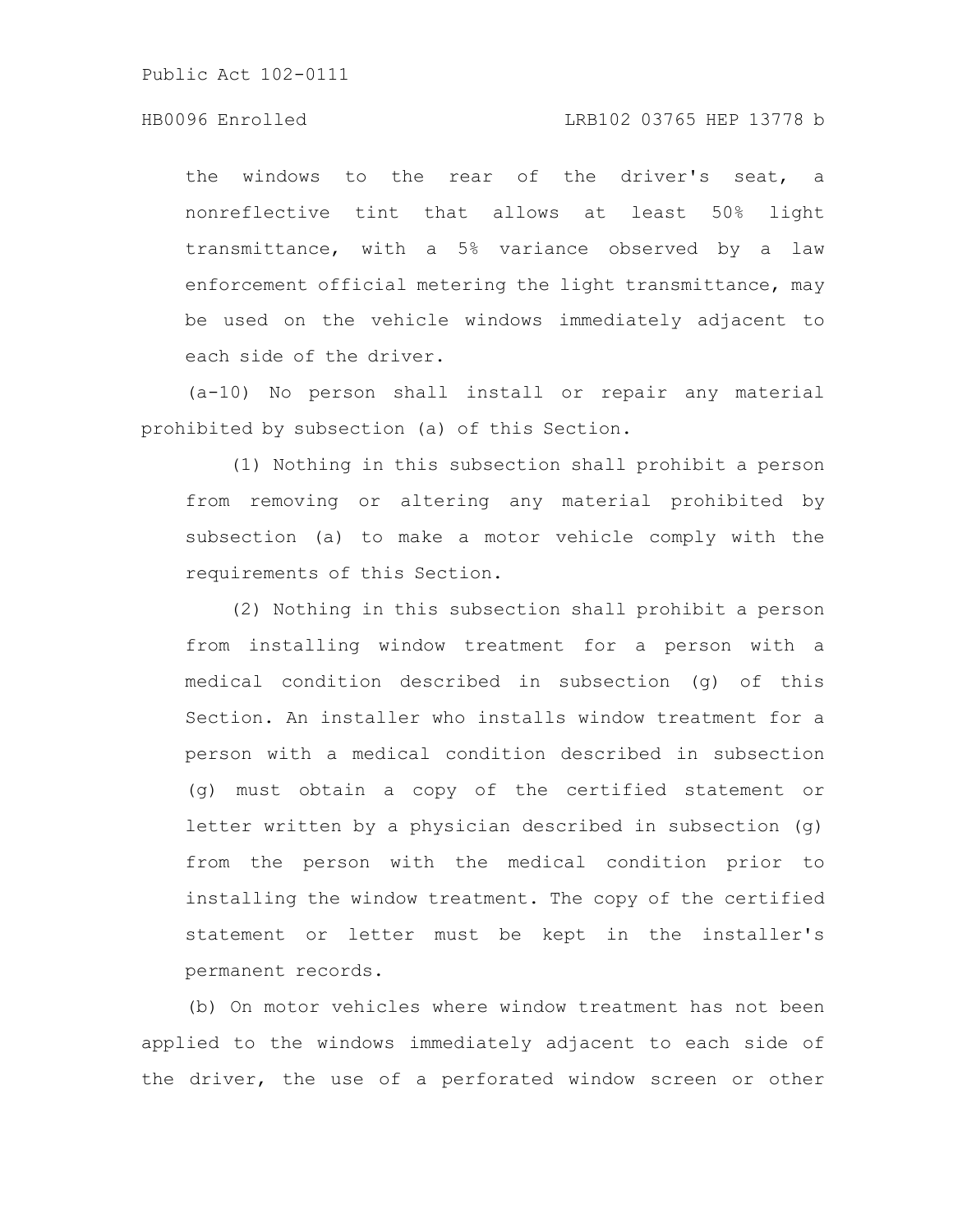# HB0096 Enrolled LRB102 03765 HEP 13778 b

the windows to the rear of the driver's seat, a nonreflective tint that allows at least 50% light transmittance, with a 5% variance observed by a law enforcement official metering the light transmittance, may be used on the vehicle windows immediately adjacent to each side of the driver.

(a-10) No person shall install or repair any material prohibited by subsection (a) of this Section.

(1) Nothing in this subsection shall prohibit a person from removing or altering any material prohibited by subsection (a) to make a motor vehicle comply with the requirements of this Section.

(2) Nothing in this subsection shall prohibit a person from installing window treatment for a person with a medical condition described in subsection (g) of this Section. An installer who installs window treatment for a person with a medical condition described in subsection (g) must obtain a copy of the certified statement or letter written by a physician described in subsection (g) from the person with the medical condition prior to installing the window treatment. The copy of the certified statement or letter must be kept in the installer's permanent records.

(b) On motor vehicles where window treatment has not been applied to the windows immediately adjacent to each side of the driver, the use of a perforated window screen or other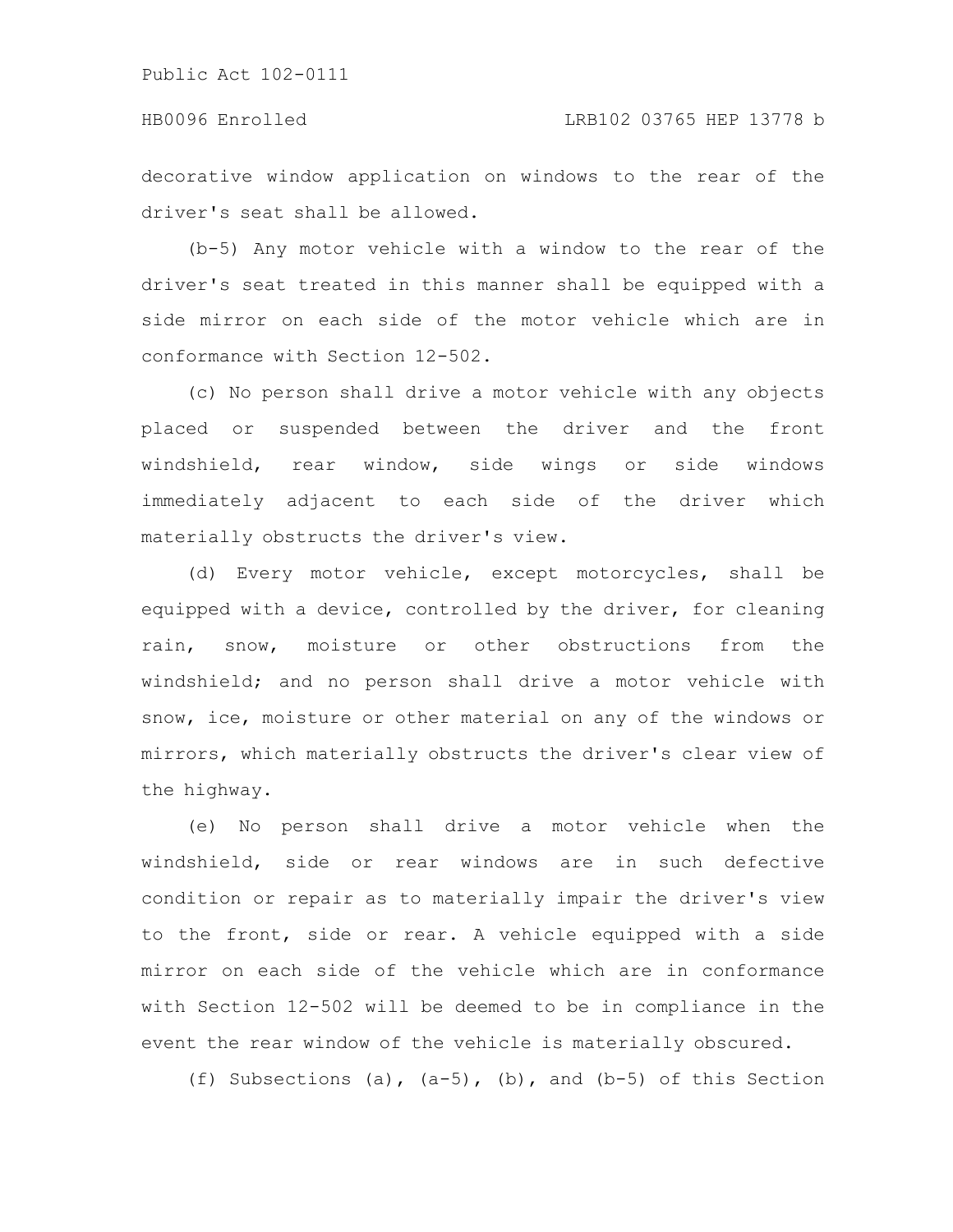# HB0096 Enrolled LRB102 03765 HEP 13778 b

decorative window application on windows to the rear of the driver's seat shall be allowed.

(b-5) Any motor vehicle with a window to the rear of the driver's seat treated in this manner shall be equipped with a side mirror on each side of the motor vehicle which are in conformance with Section 12-502.

(c) No person shall drive a motor vehicle with any objects placed or suspended between the driver and the front windshield, rear window, side wings or side windows immediately adjacent to each side of the driver which materially obstructs the driver's view.

(d) Every motor vehicle, except motorcycles, shall be equipped with a device, controlled by the driver, for cleaning rain, snow, moisture or other obstructions from the windshield; and no person shall drive a motor vehicle with snow, ice, moisture or other material on any of the windows or mirrors, which materially obstructs the driver's clear view of the highway.

(e) No person shall drive a motor vehicle when the windshield, side or rear windows are in such defective condition or repair as to materially impair the driver's view to the front, side or rear. A vehicle equipped with a side mirror on each side of the vehicle which are in conformance with Section 12-502 will be deemed to be in compliance in the event the rear window of the vehicle is materially obscured.

(f) Subsections (a),  $(a-5)$ , (b), and  $(b-5)$  of this Section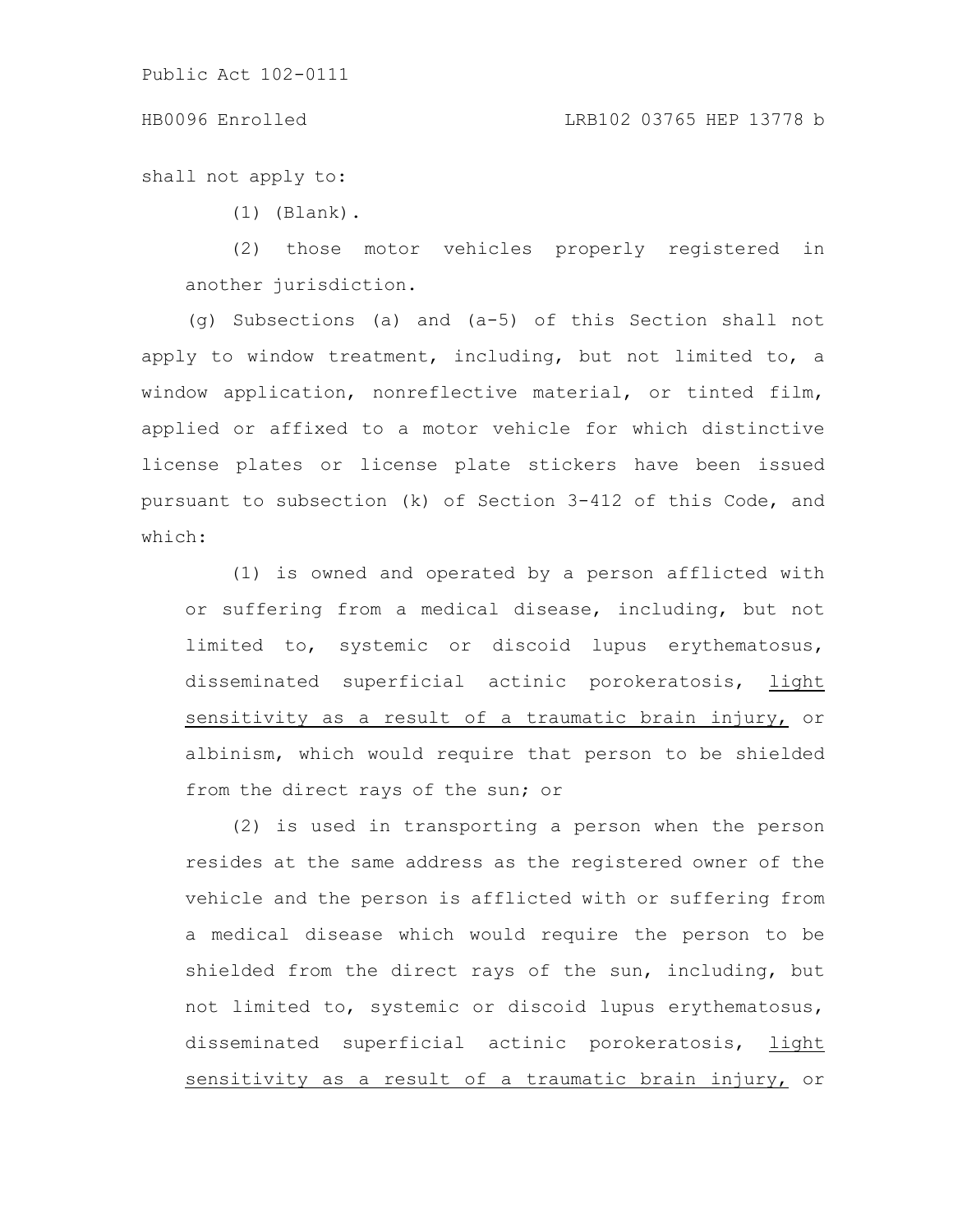### HB0096 Enrolled LRB102 03765 HEP 13778 b

shall not apply to:

(1) (Blank).

(2) those motor vehicles properly registered in another jurisdiction.

(g) Subsections (a) and (a-5) of this Section shall not apply to window treatment, including, but not limited to, a window application, nonreflective material, or tinted film, applied or affixed to a motor vehicle for which distinctive license plates or license plate stickers have been issued pursuant to subsection (k) of Section 3-412 of this Code, and which:

(1) is owned and operated by a person afflicted with or suffering from a medical disease, including, but not limited to, systemic or discoid lupus erythematosus, disseminated superficial actinic porokeratosis, light sensitivity as a result of a traumatic brain injury, or albinism, which would require that person to be shielded from the direct rays of the sun; or

(2) is used in transporting a person when the person resides at the same address as the registered owner of the vehicle and the person is afflicted with or suffering from a medical disease which would require the person to be shielded from the direct rays of the sun, including, but not limited to, systemic or discoid lupus erythematosus, disseminated superficial actinic porokeratosis, light sensitivity as a result of a traumatic brain injury, or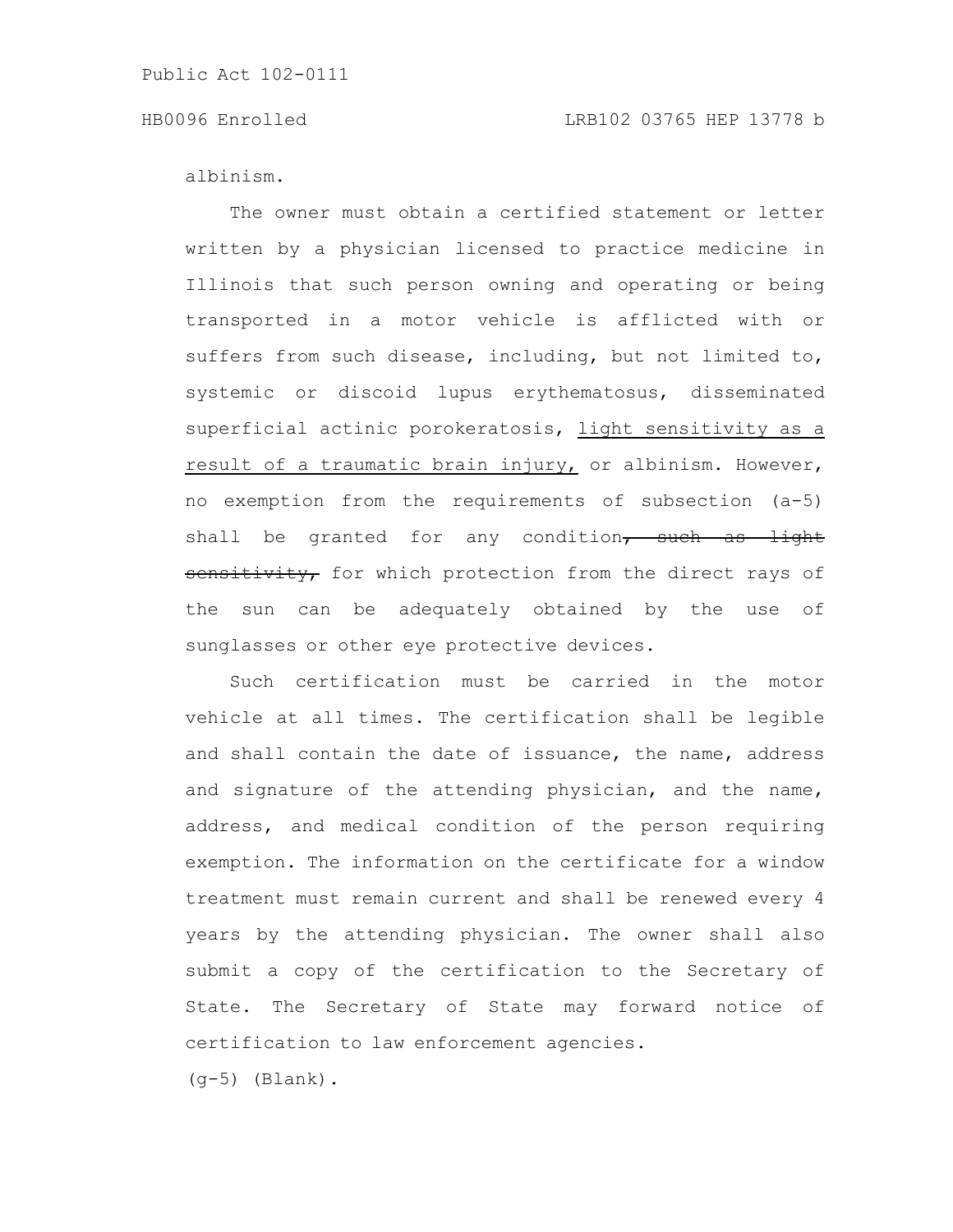### HB0096 Enrolled LRB102 03765 HEP 13778 b

albinism.

The owner must obtain a certified statement or letter written by a physician licensed to practice medicine in Illinois that such person owning and operating or being transported in a motor vehicle is afflicted with or suffers from such disease, including, but not limited to, systemic or discoid lupus erythematosus, disseminated superficial actinic porokeratosis, light sensitivity as a result of a traumatic brain injury, or albinism. However, no exemption from the requirements of subsection (a-5) shall be granted for any condition $\tau$  such as light sensitivity, for which protection from the direct rays of the sun can be adequately obtained by the use of sunglasses or other eye protective devices.

Such certification must be carried in the motor vehicle at all times. The certification shall be legible and shall contain the date of issuance, the name, address and signature of the attending physician, and the name, address, and medical condition of the person requiring exemption. The information on the certificate for a window treatment must remain current and shall be renewed every 4 years by the attending physician. The owner shall also submit a copy of the certification to the Secretary of State. The Secretary of State may forward notice of certification to law enforcement agencies.

 $(q-5)$  (Blank).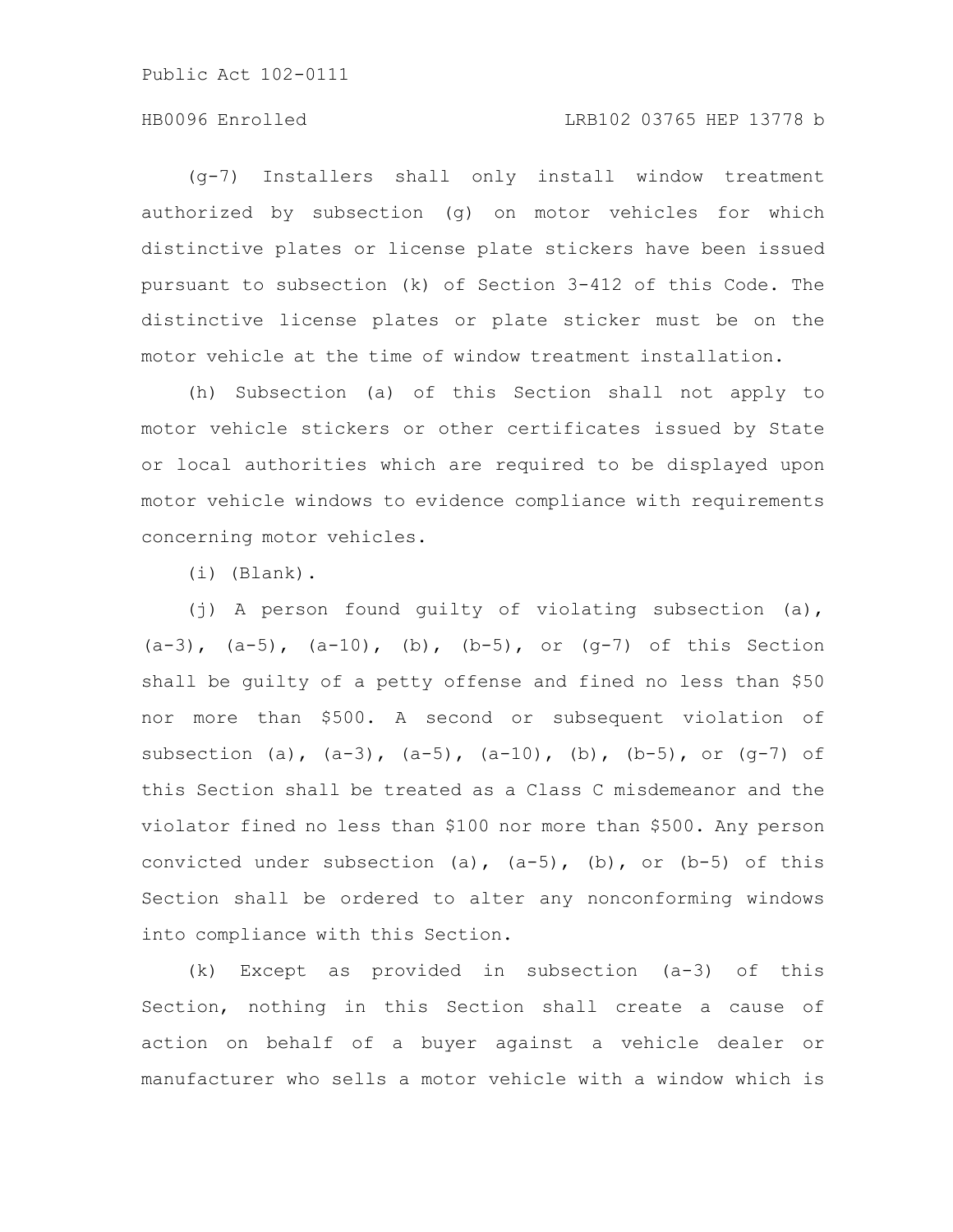# HB0096 Enrolled LRB102 03765 HEP 13778 b

(g-7) Installers shall only install window treatment authorized by subsection (g) on motor vehicles for which distinctive plates or license plate stickers have been issued pursuant to subsection (k) of Section 3-412 of this Code. The distinctive license plates or plate sticker must be on the motor vehicle at the time of window treatment installation.

(h) Subsection (a) of this Section shall not apply to motor vehicle stickers or other certificates issued by State or local authorities which are required to be displayed upon motor vehicle windows to evidence compliance with requirements concerning motor vehicles.

(i) (Blank).

(j) A person found guilty of violating subsection (a),  $(a-3)$ ,  $(a-5)$ ,  $(a-10)$ ,  $(b)$ ,  $(b-5)$ , or  $(q-7)$  of this Section shall be guilty of a petty offense and fined no less than \$50 nor more than \$500. A second or subsequent violation of subsection (a),  $(a-3)$ ,  $(a-5)$ ,  $(a-10)$ ,  $(b)$ ,  $(b-5)$ , or  $(q-7)$  of this Section shall be treated as a Class C misdemeanor and the violator fined no less than \$100 nor more than \$500. Any person convicted under subsection (a),  $(a-5)$ , (b), or  $(b-5)$  of this Section shall be ordered to alter any nonconforming windows into compliance with this Section.

(k) Except as provided in subsection (a-3) of this Section, nothing in this Section shall create a cause of action on behalf of a buyer against a vehicle dealer or manufacturer who sells a motor vehicle with a window which is